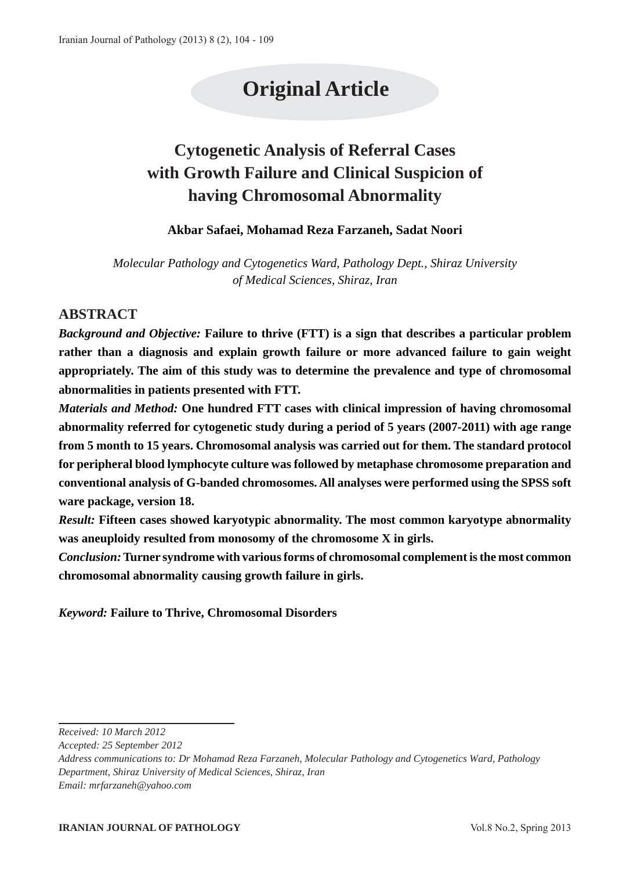# **Original Article**

# **Cytogenetic Analysis of Referral Cases with Growth Failure and Clinical Suspicion of having Chromosomal Abnormality**

## **Akbar Safaei, Mohamad Reza Farzaneh, Sadat Noori**

*Molecular Pathology and Cytogenetics Ward, Pathology Dept., Shiraz University of Medical Sciences, Shiraz, Iran*

# **ABSTRACT**

*Background and Objective:* **Failure to thrive (FTT) is a sign that describes a particular problem rather than a diagnosis and explain growth failure or more advanced failure to gain weight appropriately. The aim of this study was to determine the prevalence and type of chromosomal abnormalities in patients presented with FTT.**

*Materials and Method:* **One hundred FTT cases with clinical impression of having chromosomal abnormality referred for cytogenetic study during a period of 5 years (2007-2011) with age range from 5 month to 15 years. Chromosomal analysis was carried out for them. The standard protocol for peripheral blood lymphocyte culture was followed by metaphase chromosome preparation and conventional analysis of G-banded chromosomes. All analyses were performed using the SPSS soft ware package, version 18.**

*Result:* **Fifteen cases showed karyotypic abnormality. The most common karyotype abnormality was aneuploidy resulted from monosomy of the chromosome X in girls.** 

*Conclusion:* **Turner syndrome with various forms of chromosomal complement is the most common chromosomal abnormality causing growth failure in girls.**

*Keyword:* **Failure to Thrive, Chromosomal Disorders**

*Address communications to: Dr Mohamad Reza Farzaneh, Molecular Pathology and Cytogenetics Ward, Pathology Department, Shiraz University of Medical Sciences, Shiraz, Iran Email: mrfarzaneh@yahoo.com*

**IRANIAN JOURNAL OF PATHOLOGY** Vol.8 No.2, Spring 2013

*Received: 10 March 2012*

*Accepted: 25 September 2012*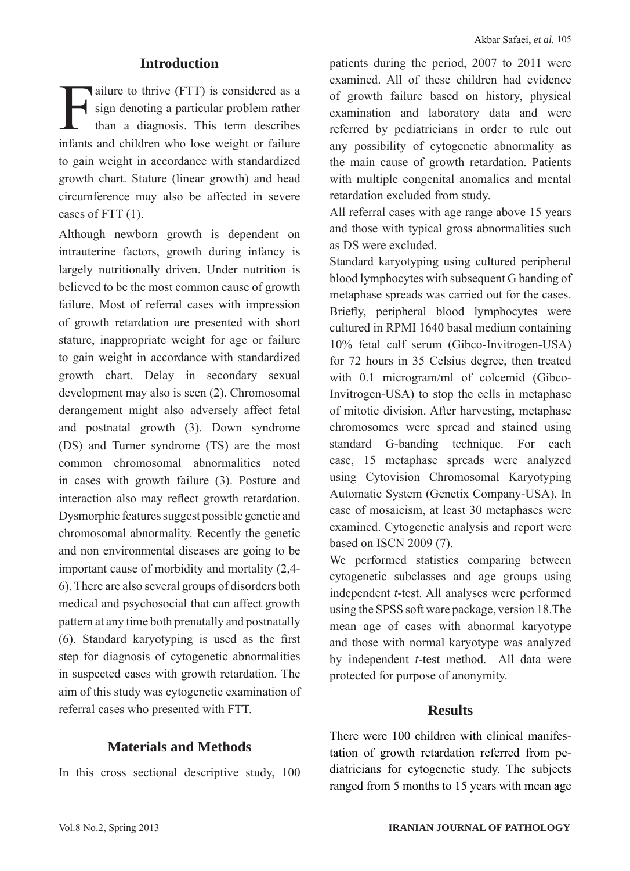# **Introduction**

ailure to thrive (FTT) is considered as a<br>sign denoting a particular problem rather<br>than a diagnosis. This term describes sign denoting a particular problem rather than a diagnosis. This term describes infants and children who lose weight or failure to gain weight in accordance with standardized growth chart. Stature (linear growth) and head circumference may also be affected in severe cases of FTT (1).

Although newborn growth is dependent on intrauterine factors, growth during infancy is largely nutritionally driven. Under nutrition is believed to be the most common cause of growth failure. Most of referral cases with impression of growth retardation are presented with short stature, inappropriate weight for age or failure to gain weight in accordance with standardized growth chart. Delay in secondary sexual development may also is seen (2). Chromosomal derangement might also adversely affect fetal and postnatal growth (3). Down syndrome (DS) and Turner syndrome (TS) are the most common chromosomal abnormalities noted in cases with growth failure (3). Posture and interaction also may reflect growth retardation. Dysmorphic features suggest possible genetic and chromosomal abnormality. Recently the genetic and non environmental diseases are going to be important cause of morbidity and mortality (2,4- 6). There are also several groups of disorders both medical and psychosocial that can affect growth pattern at any time both prenatally and postnatally (6). Standard karyotyping is used as the first step for diagnosis of cytogenetic abnormalities in suspected cases with growth retardation. The aim of this study was cytogenetic examination of referral cases who presented with FTT.

# **Materials and Methods**

In this cross sectional descriptive study, 100

patients during the period, 2007 to 2011 were examined. All of these children had evidence of growth failure based on history, physical examination and laboratory data and were referred by pediatricians in order to rule out any possibility of cytogenetic abnormality as the main cause of growth retardation. Patients with multiple congenital anomalies and mental retardation excluded from study.

All referral cases with age range above 15 years and those with typical gross abnormalities such as DS were excluded.

Standard karyotyping using cultured peripheral blood lymphocytes with subsequent G banding of metaphase spreads was carried out for the cases. Briefly, peripheral blood lymphocytes were cultured in RPMI 1640 basal medium containing 10% fetal calf serum (Gibco-Invitrogen-USA) for 72 hours in 35 Celsius degree, then treated with 0.1 microgram/ml of colcemid (Gibco-Invitrogen-USA) to stop the cells in metaphase of mitotic division. After harvesting, metaphase chromosomes were spread and stained using standard G-banding technique. For each case, 15 metaphase spreads were analyzed using Cytovision Chromosomal Karyotyping Automatic System (Genetix Company-USA). In case of mosaicism, at least 30 metaphases were examined. Cytogenetic analysis and report were based on ISCN 2009 (7).

We performed statistics comparing between cytogenetic subclasses and age groups using independent *t-*test. All analyses were performed using the SPSS soft ware package, version 18.The mean age of cases with abnormal karyotype and those with normal karyotype was analyzed by independent *t-*test method. All data were protected for purpose of anonymity.

#### **Results**

There were 100 children with clinical manifestation of growth retardation referred from pediatricians for cytogenetic study. The subjects ranged from 5 months to 15 years with mean age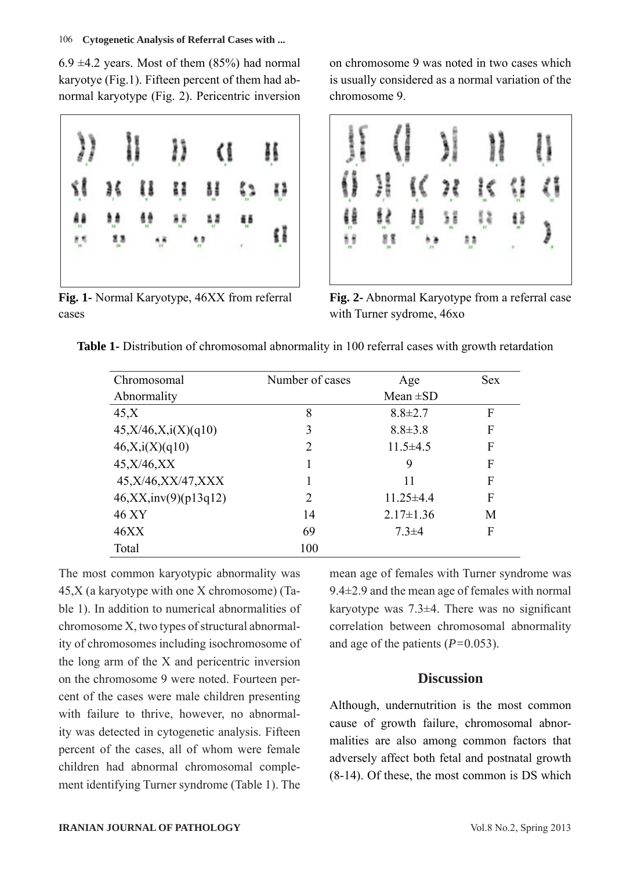$6.9 \pm 4.2$  years. Most of them  $(85%)$  had normal karyotye (Fig.1). Fifteen percent of them had abnormal karyotype (Fig. 2). Pericentric inversion



**Fig. 1-** Normal Karyotype, 46XX from referral cases

on chromosome 9 was noted in two cases which is usually considered as a normal variation of the chromosome 9.



**Fig. 2-** Abnormal Karyotype from a referral case with Turner sydrome, 46xo

**Table 1-** Distribution of chromosomal abnormality in 100 referral cases with growth retardation

| Chromosomal            | Number of cases | Age             | <b>Sex</b> |
|------------------------|-----------------|-----------------|------------|
| Abnormality            |                 | Mean $\pm SD$   |            |
| 45.X                   | 8               | $8.8 \pm 2.7$   | F          |
| 45, X/46, X, i(X)(q10) | 3               | $8.8 \pm 3.8$   | F          |
| 46, X, i(X)(q10)       | 2               | $11.5\pm4.5$    | F          |
| 45, X/46, XX           |                 | 9               | F          |
| 45, X/46, XX/47, XXX   | 1               | 11              | F          |
| 46, XX, inv(9)(p13q12) | $\overline{2}$  | $11.25 \pm 4.4$ | F          |
| 46 XY                  | 14              | $2.17 \pm 1.36$ | М          |
| 46XX                   | 69              | $7.3 \pm 4$     | F          |
| Total                  | 100             |                 |            |

The most common karyotypic abnormality was 45,X (a karyotype with one X chromosome) (Table 1). In addition to numerical abnormalities of chromosome X, two types of structural abnormality of chromosomes including isochromosome of the long arm of the X and pericentric inversion on the chromosome 9 were noted. Fourteen percent of the cases were male children presenting with failure to thrive, however, no abnormality was detected in cytogenetic analysis. Fifteen percent of the cases, all of whom were female children had abnormal chromosomal complement identifying Turner syndrome (Table 1). The

mean age of females with Turner syndrome was 9.4±2.9 and the mean age of females with normal karyotype was  $7.3\pm4$ . There was no significant correlation between chromosomal abnormality and age of the patients (*P=*0.053).

# **Discussion**

Although, undernutrition is the most common cause of growth failure, chromosomal abnormalities are also among common factors that adversely affect both fetal and postnatal growth (8-14). Of these, the most common is DS which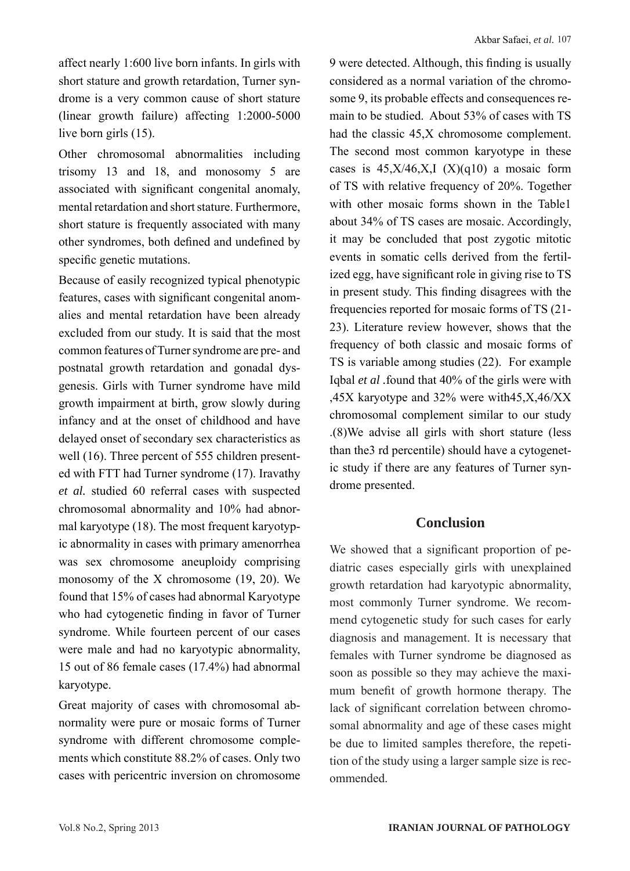affect nearly 1:600 live born infants. In girls with short stature and growth retardation, Turner syndrome is a very common cause of short stature (linear growth failure) affecting 1:2000-5000 live born girls (15).

Other chromosomal abnormalities including trisomy 13 and 18, and monosomy 5 are associated with significant congenital anomaly, mental retardation and short stature. Furthermore, short stature is frequently associated with many other syndromes, both defined and undefined by specific genetic mutations.

Because of easily recognized typical phenotypic features, cases with significant congenital anomalies and mental retardation have been already excluded from our study. It is said that the most common features of Turner syndrome are pre- and postnatal growth retardation and gonadal dysgenesis. Girls with Turner syndrome have mild growth impairment at birth, grow slowly during infancy and at the onset of childhood and have delayed onset of secondary sex characteristics as well (16). Three percent of 555 children presented with FTT had Turner syndrome (17). Iravathy *et al.* studied 60 referral cases with suspected chromosomal abnormality and 10% had abnormal karyotype (18). The most frequent karyotypic abnormality in cases with primary amenorrhea was sex chromosome aneuploidy comprising monosomy of the X chromosome (19, 20). We found that 15% of cases had abnormal Karyotype who had cytogenetic finding in favor of Turner syndrome. While fourteen percent of our cases were male and had no karyotypic abnormality, 15 out of 86 female cases (17.4%) had abnormal karyotype.

Great majority of cases with chromosomal abnormality were pure or mosaic forms of Turner syndrome with different chromosome complements which constitute 88.2% of cases. Only two cases with pericentric inversion on chromosome 9 were detected. Although, this finding is usually considered as a normal variation of the chromosome 9, its probable effects and consequences remain to be studied. About 53% of cases with TS had the classic 45,X chromosome complement. The second most common karyotype in these cases is  $45, X/46, X, I (X)(q10)$  a mosaic form of TS with relative frequency of 20%. Together with other mosaic forms shown in the Table1 about 34% of TS cases are mosaic. Accordingly, it may be concluded that post zygotic mitotic events in somatic cells derived from the fertilized egg, have significant role in giving rise to TS in present study. This finding disagrees with the frequencies reported for mosaic forms of TS (21- 23). Literature review however, shows that the frequency of both classic and mosaic forms of TS is variable among studies (22). For example Iqbal *et al .*found that 40% of the girls were with ,45X karyotype and 32% were with45,X,46/XX chromosomal complement similar to our study .(8)We advise all girls with short stature (less than the3 rd percentile) should have a cytogenetic study if there are any features of Turner syndrome presented.

# **Conclusion**

We showed that a significant proportion of pediatric cases especially girls with unexplained growth retardation had karyotypic abnormality, most commonly Turner syndrome. We recommend cytogenetic study for such cases for early diagnosis and management. It is necessary that females with Turner syndrome be diagnosed as soon as possible so they may achieve the maximum benefit of growth hormone therapy. The lack of significant correlation between chromosomal abnormality and age of these cases might be due to limited samples therefore, the repetition of the study using a larger sample size is recommended.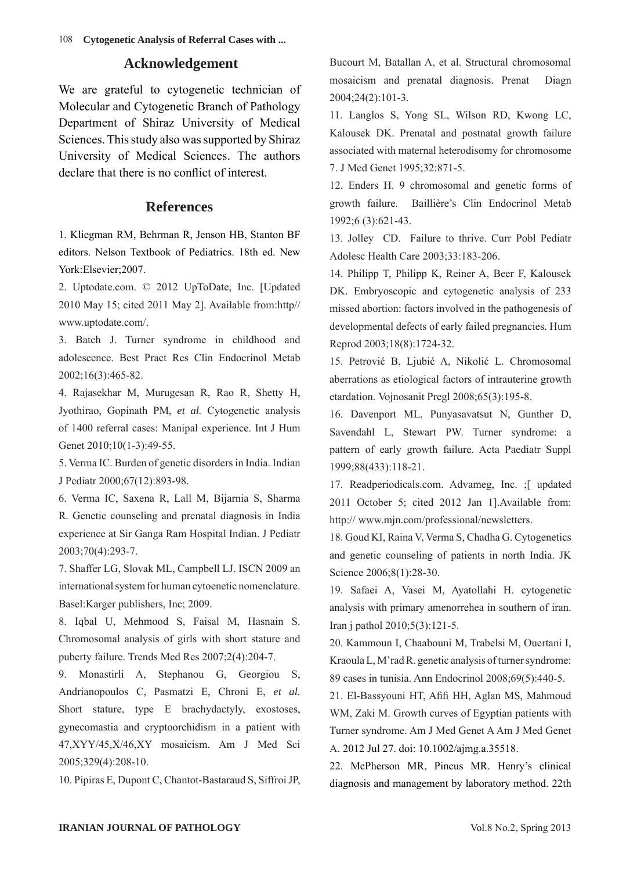108  **Cytogenetic Analysis of Referral Cases with ...**

#### **Acknowledgement**

We are grateful to cytogenetic technician of Molecular and Cytogenetic Branch of Pathology Department of Shiraz University of Medical Sciences. This study also was supported by Shiraz University of Medical Sciences. The authors declare that there is no conflict of interest.

#### **References**

 1. Kliegman RM, Behrman R, Jenson HB, Stanton BF editors. Nelson Textbook of Pediatrics. 18th ed. New York:Elsevier;2007.

2. Uptodate.com. © 2012 UpToDate, Inc. [Updated 2010 May 15; cited 2011 May 2]. Available from:http// www.uptodate.com/.

 3. Batch J. Turner syndrome in childhood and adolescence. Best Pract Res Clin Endocrinol Metab 2002;16(3):465-82.

4. Rajasekhar M, Murugesan R, Rao R, Shetty H, Jyothirao, Gopinath PM, *et al.* Cytogenetic analysis of 1400 referral cases: Manipal experience. Int J Hum Genet 2010;10(1-3):49-55.

 5. Verma IC. Burden of genetic disorders in India. Indian J Pediatr 2000;67(12):893-98.

 6. Verma IC, Saxena R, Lall M, Bijarnia S, Sharma R. Genetic counseling and prenatal diagnosis in India experience at Sir Ganga Ram Hospital Indian. J Pediatr 2003;70(4):293-7.

7. Shaffer LG, Slovak ML, Campbell LJ. ISCN 2009 an international system for human cytoenetic nomenclature. Basel:Karger publishers, Inc; 2009.

8. Iqbal U, Mehmood S, Faisal M, Hasnain S. Chromosomal analysis of girls with short stature and puberty failure. Trends Med Res 2007;2(4):204-7.

 9. Monastirli A, Stephanou G, Georgiou S, Andrianopoulos C, Pasmatzi E, Chroni E, *et al.* Short stature, type E brachydactyly, exostoses, gynecomastia and cryptoorchidism in a patient with 47,XYY/45,X/46,XY mosaicism. Am J Med Sci 2005;329(4):208-10.

10. Pipiras E, Dupont C, Chantot-Bastaraud S, Siffroi JP,

Bucourt M, Batallan A, et al. Structural chromosomal mosaicism and prenatal diagnosis. Prenat Diagn 2004;24(2):101-3.

 11. Langlos S, Yong SL, Wilson RD, Kwong LC, Kalousek DK. Prenatal and postnatal growth failure associated with maternal heterodisomy for chromosome 7. J Med Genet 1995;32:871-5.

 12. Enders H. 9 chromosomal and genetic forms of growth failure. Baillière's Clin Endocrinol Metab 1992;6 (3):621-43.

 13. Jolley CD. Failure to thrive. Curr Pobl Pediatr Adolesc Health Care 2003;33:183-206.

 14. Philipp T, Philipp K, Reiner A, Beer F, Kalousek DK. Embryoscopic and cytogenetic analysis of 233 missed abortion: factors involved in the pathogenesis of developmental defects of early failed pregnancies. Hum Reprod 2003;18(8):1724-32.

 15. Petrović B, Ljubić A, Nikolić L. Chromosomal aberrations as etiological factors of intrauterine growth etardation. Vojnosanit Pregl 2008;65(3):195-8.

 16. Davenport ML, Punyasavatsut N, Gunther D, Savendahl L, Stewart PW. Turner syndrome: a pattern of early growth failure. Acta Paediatr Suppl 1999;88(433):118-21.

17. Readperiodicals.com. Advameg, Inc. ;[ updated 2011 October 5; cited 2012 Jan 1].Available from: http:// www.mjn.com/professional/newsletters.

 18. Goud KI, Raina V, Verma S, Chadha G. Cytogenetics and genetic counseling of patients in north India. JK Science 2006;8(1):28-30.

 19. Safaei A, Vasei M, Ayatollahi H. cytogenetic analysis with primary amenorrehea in southern of iran. Iran j pathol 2010;5(3):121-5.

 20. Kammoun I, Chaabouni M, Trabelsi M, Ouertani I, Kraoula L, M'rad R. genetic analysis of turner syndrome: 89 cases in tunisia. Ann Endocrinol 2008;69(5):440-5.

 21. El-Bassyouni HT, Afifi HH, Aglan MS, Mahmoud WM, Zaki M. Growth curves of Egyptian patients with Turner syndrome. Am J Med Genet A Am J Med Genet A. 2012 Jul 27. doi: 10.1002/ajmg.a.35518.

22. McPherson MR, Pincus MR. Henry's clinical diagnosis and management by laboratory method. 22th